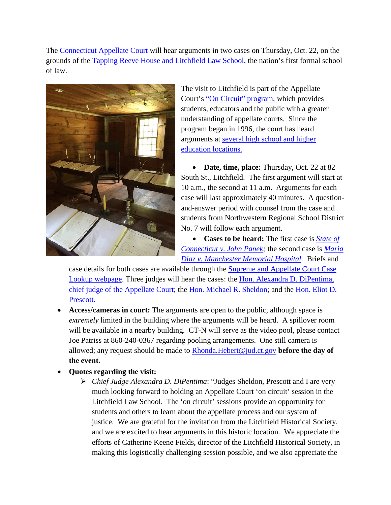The [Connecticut Appellate Court](http://www.jud.ct.gov/external/supapp/appellate.htm) will hear arguments in two cases on Thursday, Oct. 22, on the grounds of the [Tapping Reeve House and Litchfield Law School,](http://www.litchfieldhistoricalsociety.org/lawschool/index.php) the nation's first formal school of law.



The visit to Litchfield is part of the Appellate Court's ["On Circuit" program,](http://www.jud.ct.gov/external/supapp/Circuit/app/default.htm) which provides students, educators and the public with a greater understanding of appellate courts. Since the program began in 1996, the court has heard arguments at [several high school and higher](http://www.jud.ct.gov/external/supapp/Circuit/app/app_dates.htm)  [education locations.](http://www.jud.ct.gov/external/supapp/Circuit/app/app_dates.htm)

• **Date, time, place:** Thursday, Oct. 22 at 82 South St., Litchfield. The first argument will start at 10 a.m., the second at 11 a.m. Arguments for each case will last approximately 40 minutes. A questionand-answer period with counsel from the case and students from Northwestern Regional School District No. 7 will follow each argument.

• **Cases to be heard:** The first case is *[State of](http://www.jud.ct.gov/external/supapp/Summaries/AC36820.htm)  [Connecticut v. John Panek;](http://www.jud.ct.gov/external/supapp/Summaries/AC36820.htm)* the second case is *[Maria](http://www.jud.ct.gov/external/supapp/Summaries/AC37204.htm)  [Diaz v. Manchester Memorial Hospital.](http://www.jud.ct.gov/external/supapp/Summaries/AC37204.htm)* Briefs and

case details for both cases are available through the [Supreme and Appellate Court Case](http://appellateinquiry.jud.ct.gov/)  [Lookup webpage.](http://appellateinquiry.jud.ct.gov/) Three judges will hear the cases: the [Hon. Alexandra D. DiPentima,](http://www.jud.ct.gov/external/supapp/appjudge_DiPentima.html)  [chief judge of the Appellate Court;](http://www.jud.ct.gov/external/supapp/appjudge_DiPentima.html) the [Hon. Michael R. Sheldon;](http://www.jud.ct.gov/external/supapp/appjudgeSheldon.htm) and the Hon. Eliot D. [Prescott.](http://www.jud.ct.gov/external/supapp/appJudge_Prescott.htm)

- **Access/cameras in court:** The arguments are open to the public, although space is *extremely* limited in the building where the arguments will be heard. A spillover room will be available in a nearby building. CT-N will serve as the video pool, please contact Joe Patriss at 860-240-0367 regarding pooling arrangements. One still camera is allowed; any request should be made to [Rhonda.Hebert@jud.ct.gov](mailto:Rhonda.Hebert@jud.ct.gov) **before the day of the event.**
- **Quotes regarding the visit:** 
	- *Chief Judge Alexandra D. DiPentima*: "Judges Sheldon, Prescott and I are very much looking forward to holding an Appellate Court 'on circuit' session in the Litchfield Law School. The 'on circuit' sessions provide an opportunity for students and others to learn about the appellate process and our system of justice. We are grateful for the invitation from the Litchfield Historical Society, and we are excited to hear arguments in this historic location. We appreciate the efforts of Catherine Keene Fields, director of the Litchfield Historical Society, in making this logistically challenging session possible, and we also appreciate the